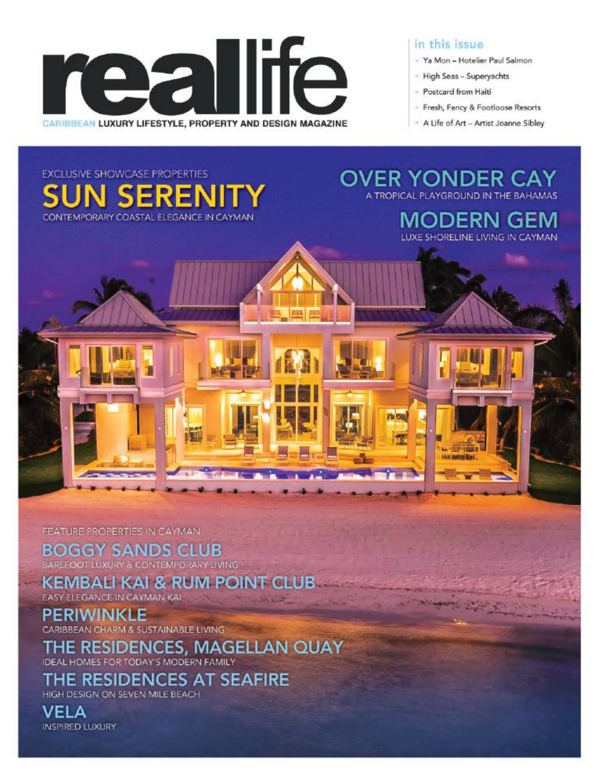

## in this issue

- Ya Mon Hotelier Paul Salmon
- High Seas Superyachts
- Postcard from Haiti
- Fresh, Fancy & Footloose Resorts
- A Life of Art Artist Joanne Sibley



FEATURE PROPERTIES IN CAYMAN

**BOGGY SANDS CLUB** BAREFOOT LUXURY & CONTEMPORARY LIVING

KEMBALI KAI & RUM POINT C **EASY ELEGANCE IN CAYMAN KAI** 

**PERIWINKLE** CARIBBEAN CHARM & SUSTAINABLE LIVING

THE RESIDENCES, MAGELLAN QUAY

THE RESIDENCES AT SEAFIRE HIGH DESIGN ON SEVEN MILE BEACH

VFLA **INSPIRED LUXURY**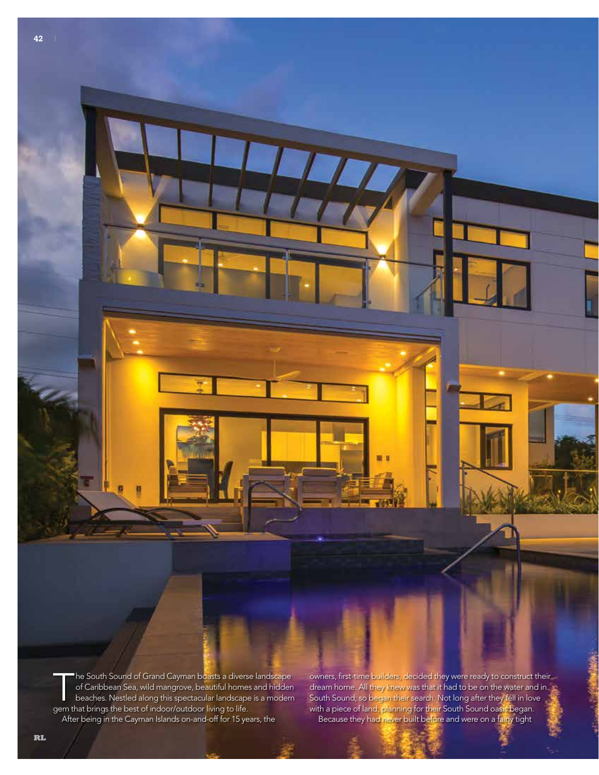The South Sound of Grand Cayman boasts a diverse landscape<br>of Caribbean Sea, wild mangrove, beautiful homes and hidden<br>beaches. Nestled along this spectacular landscape is a modern<br>computer behavior to be beat of index (su of Caribbean Sea, wild mangrove, beautiful homes and hidden beaches. Nestled along this spectacular landscape is a modern gem that brings the best of indoor/outdoor living to life. After being in the Cayman Islands on-and-off for 15 years, the

owners, first-time builders, decided they were ready to construct their dream home. All they knew was that it had to be on the water and in  $\frac{1}{2}$ South Sound; so began their search. Not long after they fell in love with a piece of land; planning for their South Sound oasis began. Because they had never built before and were on a fairly tight

42 |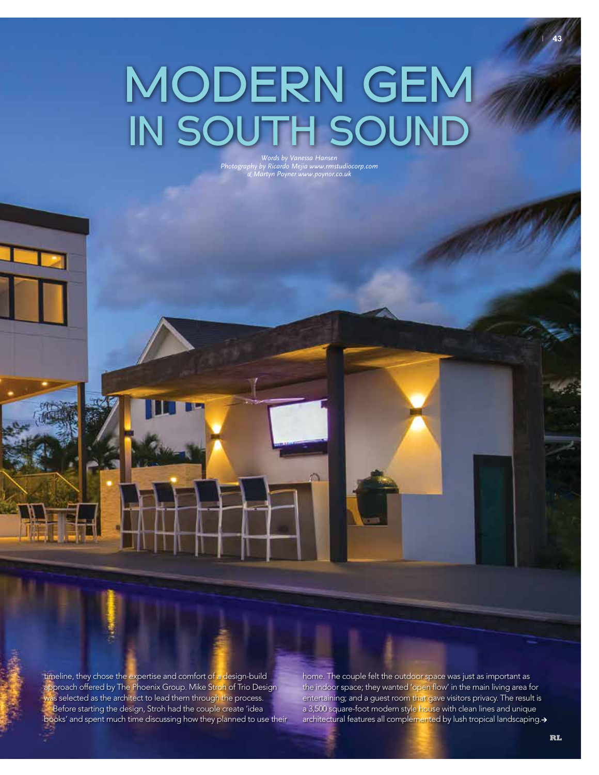## MODERN GE **in South Sound**

*Words by Vanessa Hansen Photography by Ricardo Mejia www.rmstudiocorp.com & Martyn Poyner www.poynor.co.uk*

timeline, they chose the expertise and comfort of a design-build approach offered by The Phoenix Group. Mike Stroh of Trio Design as selected as the architect to lead them through the process. Before starting the design, Stroh had the couple create 'idea books' and spent much time discussing how they planned to use their home. The couple felt the outdoor space was just as important as the indoor space; they wanted 'open flow' in the main living area for entertaining; and a guest room that gave visitors privacy. The result is a 3,500 square-foot modern style house with clean lines and unique architectural features all complemented by lush tropical landscaping.

| 43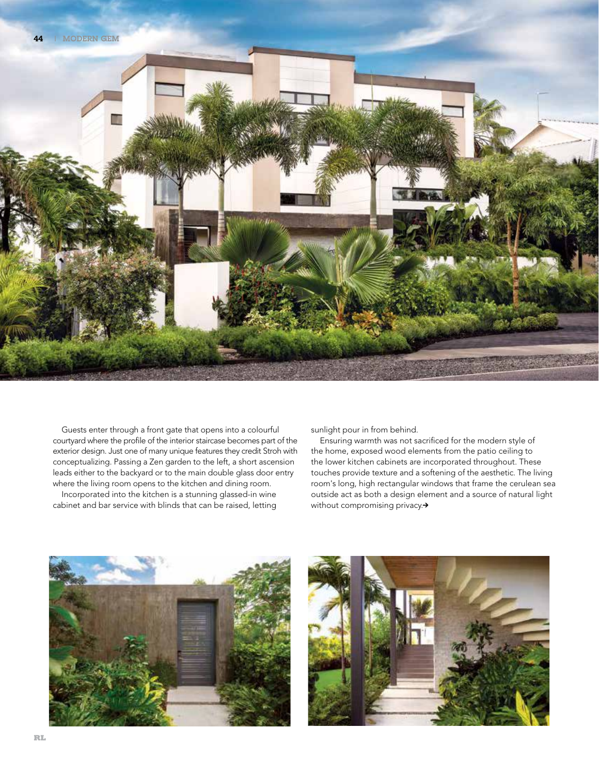

Guests enter through a front gate that opens into a colourful courtyard where the profile of the interior staircase becomes part of the exterior design. Just one of many unique features they credit Stroh with conceptualizing. Passing a Zen garden to the left, a short ascension leads either to the backyard or to the main double glass door entry where the living room opens to the kitchen and dining room.

Incorporated into the kitchen is a stunning glassed-in wine cabinet and bar service with blinds that can be raised, letting sunlight pour in from behind.

Ensuring warmth was not sacrificed for the modern style of the home, exposed wood elements from the patio ceiling to the lower kitchen cabinets are incorporated throughout. These touches provide texture and a softening of the aesthetic. The living room's long, high rectangular windows that frame the cerulean sea outside act as both a design element and a source of natural light without compromising privacy.



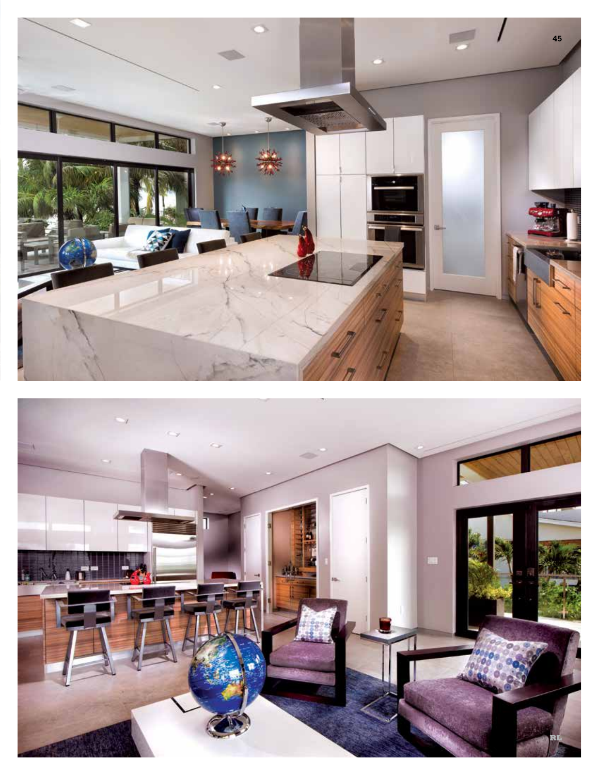

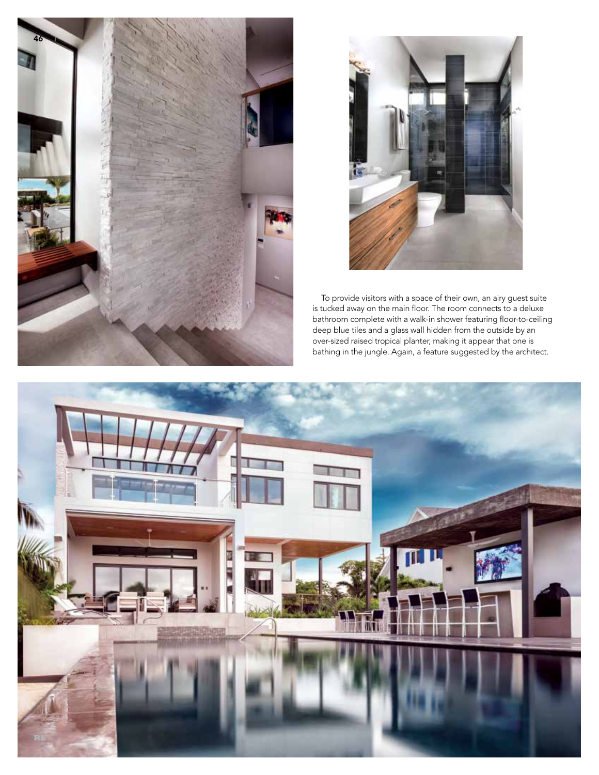



To provide visitors with a space of their own, an airy guest suite is tucked away on the main floor. The room connects to a deluxe bathroom complete with a walk-in shower featuring floor-to-ceiling deep blue tiles and a glass wall hidden from the outside by an over-sized raised tropical planter, making it appear that one is bathing in the jungle. Again, a feature suggested by the architect.